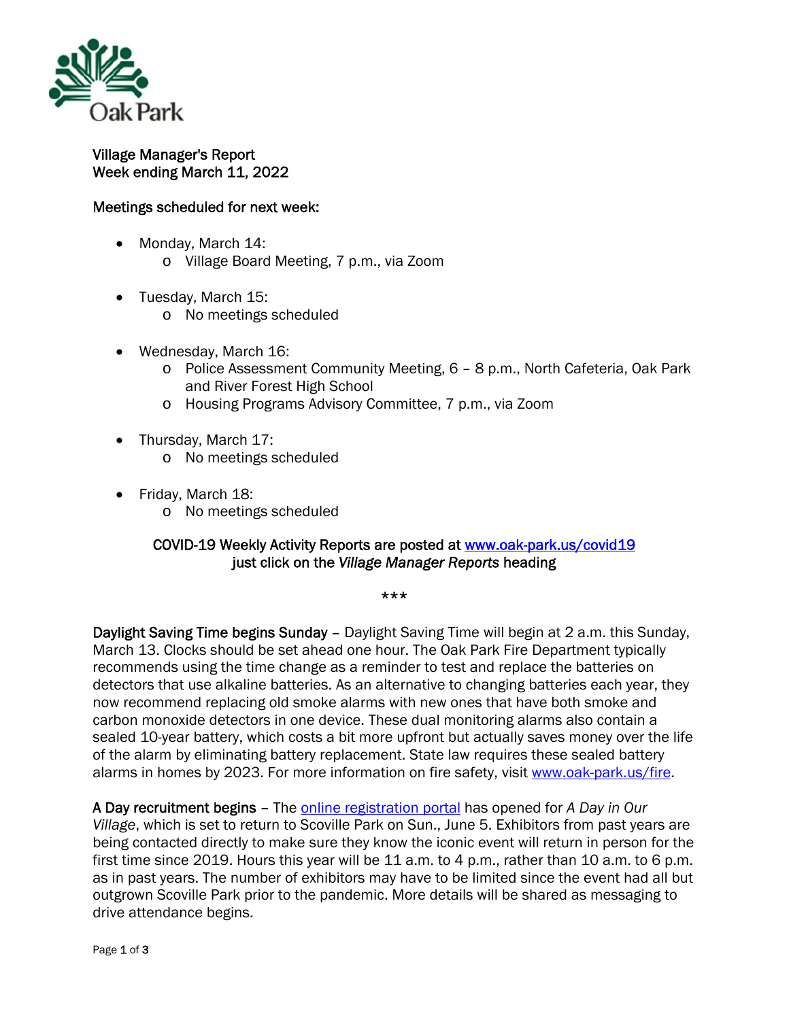

## Village Manager's Report Week ending March 11, 2022

## Meetings scheduled for next week:

- Monday, March 14: o Village Board Meeting, 7 p.m., via Zoom
- Tuesday, March 15:
	- o No meetings scheduled
- Wednesday, March 16:
	- o Police Assessment Community Meeting, 6 8 p.m., North Cafeteria, Oak Park and River Forest High School
	- o Housing Programs Advisory Committee, 7 p.m., via Zoom
- Thursday, March 17:
	- o No meetings scheduled
- Friday, March 18:
	- o No meetings scheduled

## COVID-19 Weekly Activity Reports are posted at www.oak-park.us/covid19 just click on the *Village Manager Reports* heading

\*\*\*

Daylight Saving Time begins Sunday – Daylight Saving Time will begin at 2 a.m. this Sunday, March 13. Clocks should be set ahead one hour. The Oak Park Fire Department typically recommends using the time change as a reminder to test and replace the batteries on detectors that use alkaline batteries. As an alternative to changing batteries each year, they now recommend replacing old smoke alarms with new ones that have both smoke and carbon monoxide detectors in one device. These dual monitoring alarms also contain a sealed 10-year battery, which costs a bit more upfront but actually saves money over the life of the alarm by eliminating battery replacement. State law requires these sealed battery alarms in homes by 2023. For more information on fire safety, visit www.oak-park.us/fire.

A Day recruitment begins – The online registration portal has opened for *A Day in Our Village*, which is set to return to Scoville Park on Sun., June 5. Exhibitors from past years are being contacted directly to make sure they know the iconic event will return in person for the first time since 2019. Hours this year will be 11 a.m. to 4 p.m., rather than 10 a.m. to 6 p.m. as in past years. The number of exhibitors may have to be limited since the event had all but outgrown Scoville Park prior to the pandemic. More details will be shared as messaging to drive attendance begins.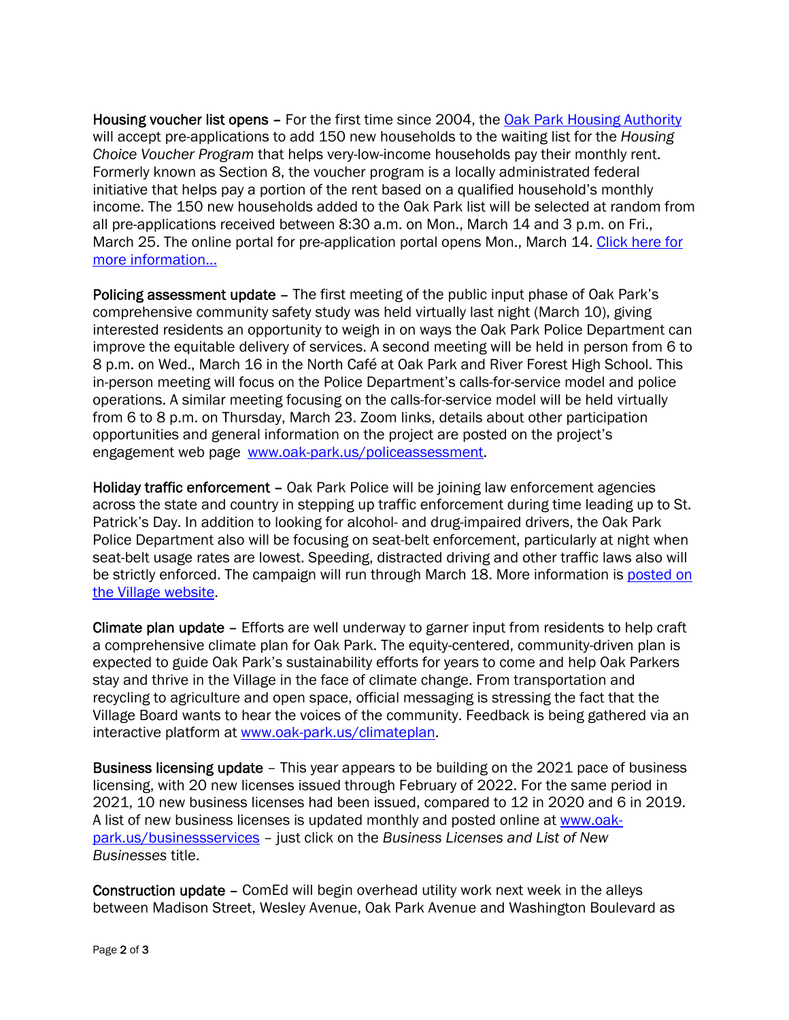Housing voucher list opens - For the first time since 2004, the **Oak Park Housing Authority** will accept pre-applications to add 150 new households to the waiting list for the *Housing Choice Voucher Program* that helps very-low-income households pay their monthly rent. Formerly known as Section 8, the voucher program is a locally administrated federal initiative that helps pay a portion of the rent based on a qualified household's monthly income. The 150 new households added to the Oak Park list will be selected at random from all pre-applications received between 8:30 a.m. on Mon., March 14 and 3 p.m. on Fri., March 25. The online portal for pre-application portal opens Mon., March 14. Click here for more information…

Policing assessment update – The first meeting of the public input phase of Oak Park's comprehensive community safety study was held virtually last night (March 10), giving interested residents an opportunity to weigh in on ways the Oak Park Police Department can improve the equitable delivery of services. A second meeting will be held in person from 6 to 8 p.m. on Wed., March 16 in the North Café at Oak Park and River Forest High School. This in-person meeting will focus on the Police Department's calls-for-service model and police operations. A similar meeting focusing on the calls-for-service model will be held virtually from 6 to 8 p.m. on Thursday, March 23. Zoom links, details about other participation opportunities and general information on the project are posted on the project's engagement web page www.oak-park.us/policeassessment.

Holiday traffic enforcement – Oak Park Police will be joining law enforcement agencies across the state and country in stepping up traffic enforcement during time leading up to St. Patrick's Day. In addition to looking for alcohol- and drug-impaired drivers, the Oak Park Police Department also will be focusing on seat-belt enforcement, particularly at night when seat-belt usage rates are lowest. Speeding, distracted driving and other traffic laws also will be strictly enforced. The campaign will run through March 18. More information is posted on the Village website.

Climate plan update – Efforts are well underway to garner input from residents to help craft a comprehensive climate plan for Oak Park. The equity-centered, community-driven plan is expected to guide Oak Park's sustainability efforts for years to come and help Oak Parkers stay and thrive in the Village in the face of climate change. From transportation and recycling to agriculture and open space, official messaging is stressing the fact that the Village Board wants to hear the voices of the community. Feedback is being gathered via an interactive platform at www.oak-park.us/climateplan.

Business licensing update – This year appears to be building on the 2021 pace of business licensing, with 20 new licenses issued through February of 2022. For the same period in 2021, 10 new business licenses had been issued, compared to 12 in 2020 and 6 in 2019. A list of new business licenses is updated monthly and posted online at www.oakpark.us/businessservices – just click on the *Business Licenses and List of New Businesses* title.

Construction update – ComEd will begin overhead utility work next week in the alleys between Madison Street, Wesley Avenue, Oak Park Avenue and Washington Boulevard as